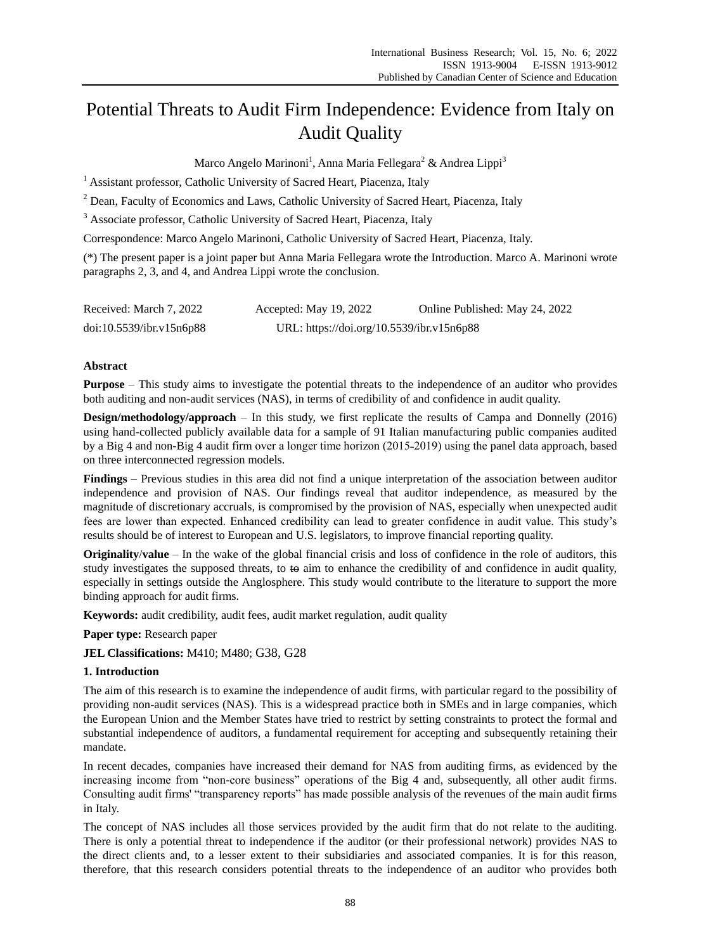# Potential Threats to Audit Firm Independence: Evidence from Italy on Audit Quality

Marco Angelo Marinoni<sup>1</sup>, Anna Maria Fellegara<sup>2</sup> & Andrea Lippi<sup>3</sup>

<sup>1</sup> Assistant professor, Catholic University of Sacred Heart, Piacenza, Italy

<sup>2</sup> Dean, Faculty of Economics and Laws, Catholic University of Sacred Heart, Piacenza, Italy

<sup>3</sup> Associate professor, Catholic University of Sacred Heart, Piacenza, Italy

Correspondence: Marco Angelo Marinoni, Catholic University of Sacred Heart, Piacenza, Italy.

(\*) The present paper is a joint paper but Anna Maria Fellegara wrote the Introduction. Marco A. Marinoni wrote paragraphs 2, 3, and 4, and Andrea Lippi wrote the conclusion.

| Received: March 7, 2022  | Accepted: May 19, 2022                    | Online Published: May 24, 2022 |
|--------------------------|-------------------------------------------|--------------------------------|
| doi:10.5539/ibr.v15n6p88 | URL: https://doi.org/10.5539/ibr.v15n6p88 |                                |

### **Abstract**

**Purpose** – This study aims to investigate the potential threats to the independence of an auditor who provides both auditing and non-audit services (NAS), in terms of credibility of and confidence in audit quality.

**Design/methodology/approach** – In this study, we first replicate the results of Campa and Donnelly (2016) using hand-collected publicly available data for a sample of 91 Italian manufacturing public companies audited by a Big 4 and non-Big 4 audit firm over a longer time horizon (2015-2019) using the panel data approach, based on three interconnected regression models.

**Findings** – Previous studies in this area did not find a unique interpretation of the association between auditor independence and provision of NAS. Our findings reveal that auditor independence, as measured by the magnitude of discretionary accruals, is compromised by the provision of NAS, especially when unexpected audit fees are lower than expected. Enhanced credibility can lead to greater confidence in audit value. This study's results should be of interest to European and U.S. legislators, to improve financial reporting quality.

**Originality**/**value** – In the wake of the global financial crisis and loss of confidence in the role of auditors, this study investigates the supposed threats, to  $\leftrightarrow$  aim to enhance the credibility of and confidence in audit quality, especially in settings outside the Anglosphere. This study would contribute to the literature to support the more binding approach for audit firms.

**Keywords:** audit credibility, audit fees, audit market regulation, audit quality

### **Paper type:** Research paper

**JEL Classifications:** M410; M480; G38, G28

### **1. Introduction**

The aim of this research is to examine the independence of audit firms, with particular regard to the possibility of providing non-audit services (NAS). This is a widespread practice both in SMEs and in large companies, which the European Union and the Member States have tried to restrict by setting constraints to protect the formal and substantial independence of auditors, a fundamental requirement for accepting and subsequently retaining their mandate.

In recent decades, companies have increased their demand for NAS from auditing firms, as evidenced by the increasing income from "non-core business" operations of the Big 4 and, subsequently, all other audit firms. Consulting audit firms' "transparency reports" has made possible analysis of the revenues of the main audit firms in Italy.

The concept of NAS includes all those services provided by the audit firm that do not relate to the auditing. There is only a potential threat to independence if the auditor (or their professional network) provides NAS to the direct clients and, to a lesser extent to their subsidiaries and associated companies. It is for this reason, therefore, that this research considers potential threats to the independence of an auditor who provides both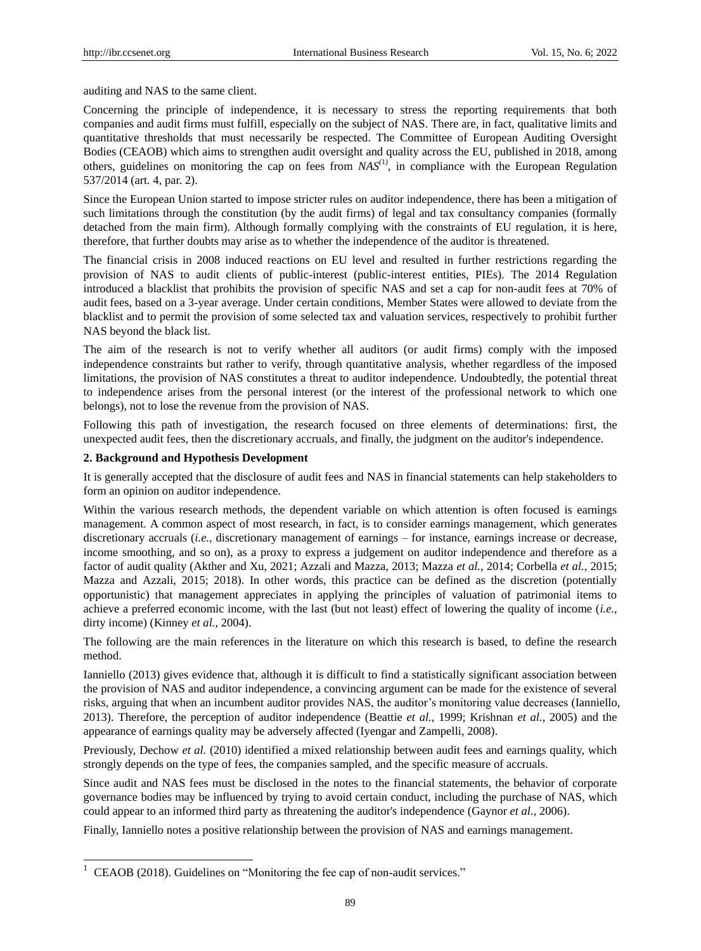auditing and NAS to the same client.

Concerning the principle of independence, it is necessary to stress the reporting requirements that both companies and audit firms must fulfill, especially on the subject of NAS. There are, in fact, qualitative limits and quantitative thresholds that must necessarily be respected. The Committee of European Auditing Oversight Bodies (CEAOB) which aims to strengthen audit oversight and quality across the EU, published in 2018, among others, guidelines on monitoring the cap on fees from *NAS(*1*)* , in compliance with the European Regulation 537/2014 (art. 4, par. 2).

Since the European Union started to impose stricter rules on auditor independence, there has been a mitigation of such limitations through the constitution (by the audit firms) of legal and tax consultancy companies (formally detached from the main firm). Although formally complying with the constraints of EU regulation, it is here, therefore, that further doubts may arise as to whether the independence of the auditor is threatened.

The financial crisis in 2008 induced reactions on EU level and resulted in further restrictions regarding the provision of NAS to audit clients of public-interest (public-interest entities, PIEs). The 2014 Regulation introduced a blacklist that prohibits the provision of specific NAS and set a cap for non-audit fees at 70% of audit fees, based on a 3-year average. Under certain conditions, Member States were allowed to deviate from the blacklist and to permit the provision of some selected tax and valuation services, respectively to prohibit further NAS beyond the black list.

The aim of the research is not to verify whether all auditors (or audit firms) comply with the imposed independence constraints but rather to verify, through quantitative analysis, whether regardless of the imposed limitations, the provision of NAS constitutes a threat to auditor independence. Undoubtedly, the potential threat to independence arises from the personal interest (or the interest of the professional network to which one belongs), not to lose the revenue from the provision of NAS.

Following this path of investigation, the research focused on three elements of determinations: first, the unexpected audit fees, then the discretionary accruals, and finally, the judgment on the auditor's independence.

#### **2. Background and Hypothesis Development**

-

It is generally accepted that the disclosure of audit fees and NAS in financial statements can help stakeholders to form an opinion on auditor independence.

Within the various research methods, the dependent variable on which attention is often focused is earnings management. A common aspect of most research, in fact, is to consider earnings management, which generates discretionary accruals *(i.e.*, discretionary management of earnings – for instance, earnings increase or decrease, income smoothing, and so on), as a proxy to express a judgement on auditor independence and therefore as a factor of audit quality (Akther and Xu, 2021; Azzali and Mazza, 2013; Mazza *et al.*, 2014; Corbella *et al.*, 2015; Mazza and Azzali, 2015; 2018). In other words, this practice can be defined as the discretion (potentially opportunistic) that management appreciates in applying the principles of valuation of patrimonial items to achieve a preferred economic income, with the last (but not least) effect of lowering the quality of income (*i.e.*, dirty income) (Kinney *et al.*, 2004).

The following are the main references in the literature on which this research is based, to define the research method.

Ianniello (2013) gives evidence that, although it is difficult to find a statistically significant association between the provision of NAS and auditor independence, a convincing argument can be made for the existence of several risks, arguing that when an incumbent auditor provides NAS, the auditor's monitoring value decreases (Ianniello, 2013). Therefore, the perception of auditor independence (Beattie *et al.*, 1999; Krishnan *et al.*, 2005) and the appearance of earnings quality may be adversely affected (Iyengar and Zampelli, 2008).

Previously, Dechow *et al.* (2010) identified a mixed relationship between audit fees and earnings quality, which strongly depends on the type of fees, the companies sampled, and the specific measure of accruals.

Since audit and NAS fees must be disclosed in the notes to the financial statements, the behavior of corporate governance bodies may be influenced by trying to avoid certain conduct, including the purchase of NAS, which could appear to an informed third party as threatening the auditor's independence (Gaynor *et al.*, 2006).

Finally, Ianniello notes a positive relationship between the provision of NAS and earnings management.

 $1$  CEAOB (2018). Guidelines on "Monitoring the fee cap of non-audit services."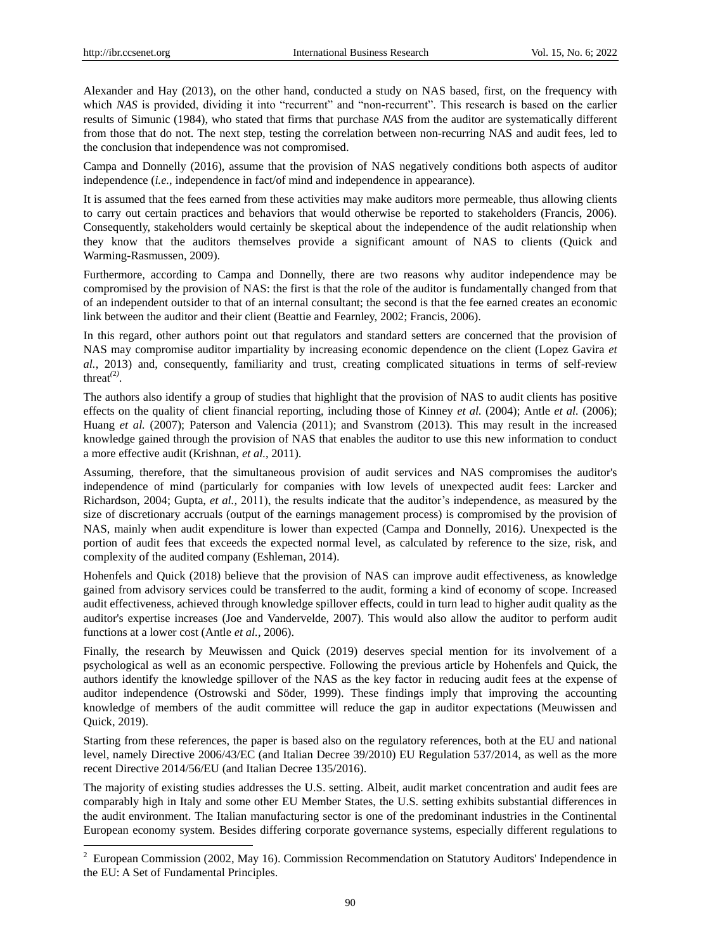-

Alexander and Hay (2013), on the other hand, conducted a study on NAS based, first, on the frequency with which *NAS* is provided, dividing it into "recurrent" and "non-recurrent". This research is based on the earlier results of Simunic (1984), who stated that firms that purchase *NAS* from the auditor are systematically different from those that do not. The next step, testing the correlation between non-recurring NAS and audit fees, led to the conclusion that independence was not compromised.

Campa and Donnelly (2016), assume that the provision of NAS negatively conditions both aspects of auditor independence (*i.e.*, independence in fact/of mind and independence in appearance).

It is assumed that the fees earned from these activities may make auditors more permeable, thus allowing clients to carry out certain practices and behaviors that would otherwise be reported to stakeholders (Francis, 2006). Consequently, stakeholders would certainly be skeptical about the independence of the audit relationship when they know that the auditors themselves provide a significant amount of NAS to clients (Quick and Warming-Rasmussen, 2009).

Furthermore, according to Campa and Donnelly, there are two reasons why auditor independence may be compromised by the provision of NAS: the first is that the role of the auditor is fundamentally changed from that of an independent outsider to that of an internal consultant; the second is that the fee earned creates an economic link between the auditor and their client (Beattie and Fearnley, 2002; Francis, 2006).

In this regard, other authors point out that regulators and standard setters are concerned that the provision of NAS may compromise auditor impartiality by increasing economic dependence on the client (Lopez Gavira *et al.*, 2013) and, consequently, familiarity and trust, creating complicated situations in terms of self-review threat<sup> $(2)$ </sup>.

The authors also identify a group of studies that highlight that the provision of NAS to audit clients has positive effects on the quality of client financial reporting, including those of Kinney *et al.* (2004); Antle *et al.* (2006); Huang *et al.* (2007); Paterson and Valencia (2011); and Svanstrom (2013). This may result in the increased knowledge gained through the provision of NAS that enables the auditor to use this new information to conduct a more effective audit (Krishnan, *et al.*, 2011).

Assuming, therefore, that the simultaneous provision of audit services and NAS compromises the auditor's independence of mind (particularly for companies with low levels of unexpected audit fees: Larcker and Richardson, 2004; Gupta, *et al.,* 2011), the results indicate that the auditor's independence, as measured by the size of discretionary accruals (output of the earnings management process) is compromised by the provision of NAS, mainly when audit expenditure is lower than expected (Campa and Donnelly, 2016*)*. Unexpected is the portion of audit fees that exceeds the expected normal level, as calculated by reference to the size, risk, and complexity of the audited company (Eshleman, 2014).

Hohenfels and Quick (2018) believe that the provision of NAS can improve audit effectiveness, as knowledge gained from advisory services could be transferred to the audit, forming a kind of economy of scope. Increased audit effectiveness, achieved through knowledge spillover effects, could in turn lead to higher audit quality as the auditor's expertise increases (Joe and Vandervelde, 2007). This would also allow the auditor to perform audit functions at a lower cost (Antle *et al.*, 2006).

Finally, the research by Meuwissen and Quick (2019) deserves special mention for its involvement of a psychological as well as an economic perspective. Following the previous article by Hohenfels and Quick, the authors identify the knowledge spillover of the NAS as the key factor in reducing audit fees at the expense of auditor independence (Ostrowski and Söder, 1999). These findings imply that improving the accounting knowledge of members of the audit committee will reduce the gap in auditor expectations (Meuwissen and Quick, 2019).

Starting from these references, the paper is based also on the regulatory references, both at the EU and national level, namely Directive 2006/43/EC (and Italian Decree 39/2010) EU Regulation 537/2014, as well as the more recent Directive 2014/56/EU (and Italian Decree 135/2016).

The majority of existing studies addresses the U.S. setting. Albeit, audit market concentration and audit fees are comparably high in Italy and some other EU Member States, the U.S. setting exhibits substantial differences in the audit environment. The Italian manufacturing sector is one of the predominant industries in the Continental European economy system. Besides differing corporate governance systems, especially different regulations to

<sup>&</sup>lt;sup>2</sup> European Commission (2002, May 16). Commission Recommendation on Statutory Auditors' Independence in the EU: A Set of Fundamental Principles.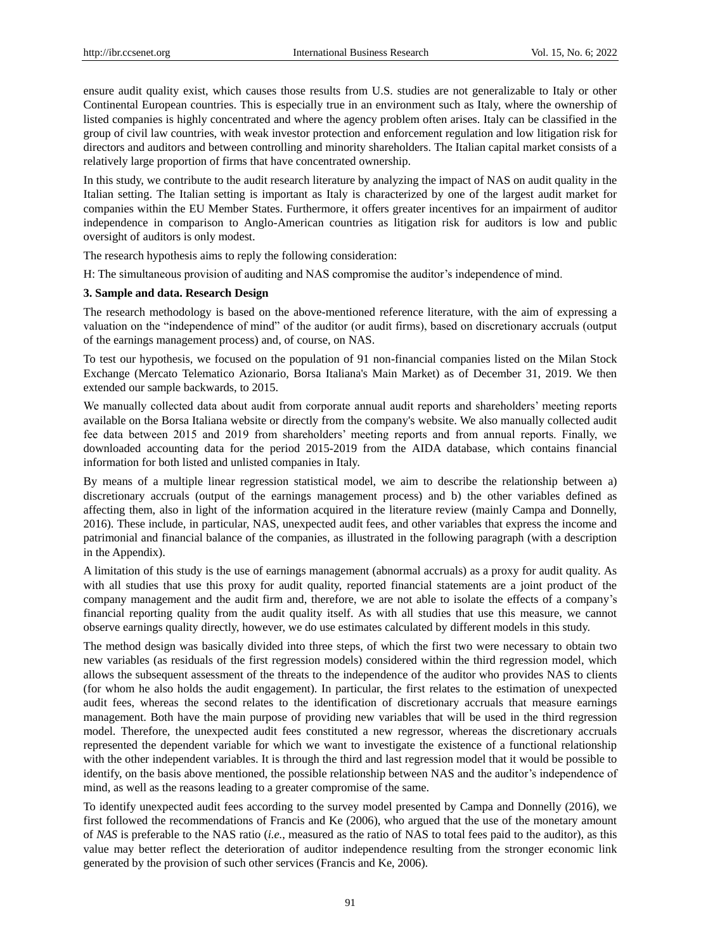ensure audit quality exist, which causes those results from U.S. studies are not generalizable to Italy or other Continental European countries. This is especially true in an environment such as Italy, where the ownership of listed companies is highly concentrated and where the agency problem often arises. Italy can be classified in the group of civil law countries, with weak investor protection and enforcement regulation and low litigation risk for directors and auditors and between controlling and minority shareholders. The Italian capital market consists of a relatively large proportion of firms that have concentrated ownership.

In this study, we contribute to the audit research literature by analyzing the impact of NAS on audit quality in the Italian setting. The Italian setting is important as Italy is characterized by one of the largest audit market for companies within the EU Member States. Furthermore, it offers greater incentives for an impairment of auditor independence in comparison to Anglo-American countries as litigation risk for auditors is low and public oversight of auditors is only modest.

The research hypothesis aims to reply the following consideration:

H: The simultaneous provision of auditing and NAS compromise the auditor's independence of mind.

#### **3. Sample and data. Research Design**

The research methodology is based on the above-mentioned reference literature, with the aim of expressing a valuation on the "independence of mind" of the auditor (or audit firms), based on discretionary accruals (output of the earnings management process) and, of course, on NAS.

To test our hypothesis, we focused on the population of 91 non-financial companies listed on the Milan Stock Exchange (Mercato Telematico Azionario, Borsa Italiana's Main Market) as of December 31, 2019. We then extended our sample backwards, to 2015.

We manually collected data about audit from corporate annual audit reports and shareholders' meeting reports available on the Borsa Italiana website or directly from the company's website. We also manually collected audit fee data between 2015 and 2019 from shareholders' meeting reports and from annual reports. Finally, we downloaded accounting data for the period 2015-2019 from the AIDA database, which contains financial information for both listed and unlisted companies in Italy.

By means of a multiple linear regression statistical model, we aim to describe the relationship between a) discretionary accruals (output of the earnings management process) and b) the other variables defined as affecting them, also in light of the information acquired in the literature review (mainly Campa and Donnelly, 2016). These include, in particular, NAS, unexpected audit fees, and other variables that express the income and patrimonial and financial balance of the companies, as illustrated in the following paragraph (with a description in the Appendix).

A limitation of this study is the use of earnings management (abnormal accruals) as a proxy for audit quality. As with all studies that use this proxy for audit quality, reported financial statements are a joint product of the company management and the audit firm and, therefore, we are not able to isolate the effects of a company's financial reporting quality from the audit quality itself. As with all studies that use this measure, we cannot observe earnings quality directly, however, we do use estimates calculated by different models in this study.

The method design was basically divided into three steps, of which the first two were necessary to obtain two new variables (as residuals of the first regression models) considered within the third regression model, which allows the subsequent assessment of the threats to the independence of the auditor who provides NAS to clients (for whom he also holds the audit engagement). In particular, the first relates to the estimation of unexpected audit fees, whereas the second relates to the identification of discretionary accruals that measure earnings management. Both have the main purpose of providing new variables that will be used in the third regression model. Therefore, the unexpected audit fees constituted a new regressor, whereas the discretionary accruals represented the dependent variable for which we want to investigate the existence of a functional relationship with the other independent variables. It is through the third and last regression model that it would be possible to identify, on the basis above mentioned, the possible relationship between NAS and the auditor's independence of mind, as well as the reasons leading to a greater compromise of the same.

To identify unexpected audit fees according to the survey model presented by Campa and Donnelly (2016), we first followed the recommendations of Francis and Ke (2006), who argued that the use of the monetary amount of *NAS* is preferable to the NAS ratio (*i.e.*, measured as the ratio of NAS to total fees paid to the auditor), as this value may better reflect the deterioration of auditor independence resulting from the stronger economic link generated by the provision of such other services (Francis and Ke, 2006).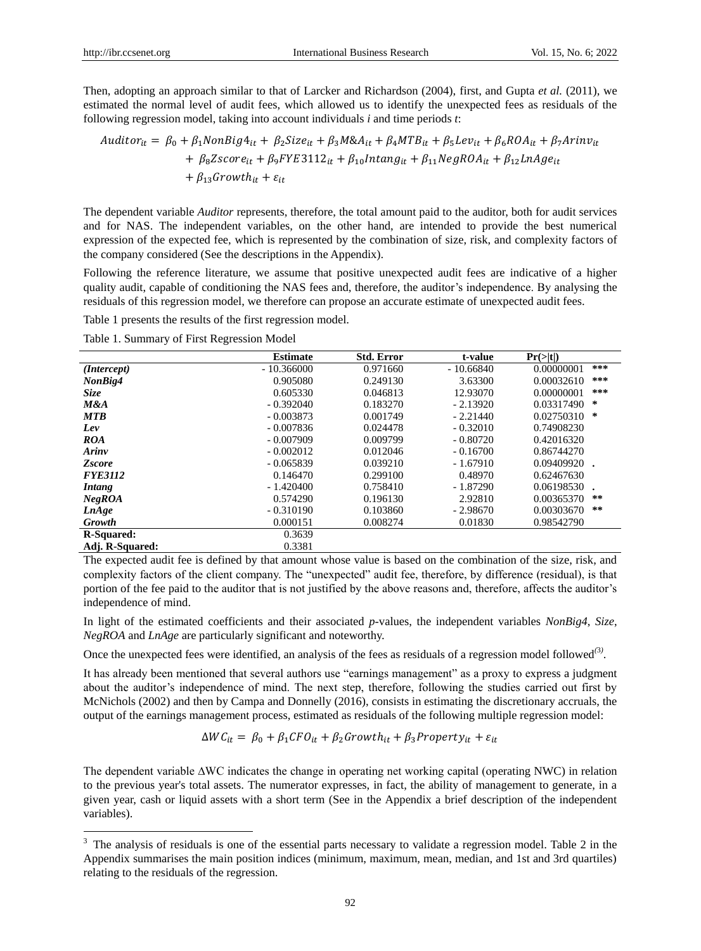-

Then, adopting an approach similar to that of Larcker and Richardson (2004), first, and Gupta *et al.* (2011), we estimated the normal level of audit fees, which allowed us to identify the unexpected fees as residuals of the following regression model, taking into account individuals *i* and time periods *t*:

$$
Auditor_{it} = \beta_0 + \beta_1 NonBig4_{it} + \beta_2 Size_{it} + \beta_3 M&A_{it} + \beta_4 MTB_{it} + \beta_5 Lev_{it} + \beta_6 ROA_{it} + \beta_7 Arinv_{it}
$$
  
+  $\beta_6 Z score_{it} + \beta_9 F Y E3112_{it} + \beta_{10} Intang_{it} + \beta_{11} NegROA_{it} + \beta_{12} LnAge_{it}$   
+  $\beta_{13} Growth_{it} + \varepsilon_{it}$ 

The dependent variable *Auditor* represents, therefore, the total amount paid to the auditor, both for audit services and for NAS. The independent variables, on the other hand, are intended to provide the best numerical expression of the expected fee, which is represented by the combination of size, risk, and complexity factors of the company considered (See the descriptions in the Appendix).

Following the reference literature, we assume that positive unexpected audit fees are indicative of a higher quality audit, capable of conditioning the NAS fees and, therefore, the auditor's independence. By analysing the residuals of this regression model, we therefore can propose an accurate estimate of unexpected audit fees.

Table 1 presents the results of the first regression model.

Table 1. Summary of First Regression Model

|                   | <b>Estimate</b> | <b>Std. Error</b>                                                                                                                                        | t-value     | Pr(> t )                                                                                            |     |
|-------------------|-----------------|----------------------------------------------------------------------------------------------------------------------------------------------------------|-------------|-----------------------------------------------------------------------------------------------------|-----|
| (Intercept)       | $-10.366000$    | 0.971660                                                                                                                                                 | $-10.66840$ | 0.00000001                                                                                          | *** |
| NonBig4           | 0.905080        | 0.249130                                                                                                                                                 | 3.63300     | 0.00032610                                                                                          | *** |
| Size              | 0.605330        | 0.046813                                                                                                                                                 | 12.93070    | 0.00000001                                                                                          | *** |
| M&A               | $-0.392040$     | 0.183270<br>$-2.13920$<br>0.001749<br>$-2.21440$<br>0.024478<br>$-0.32010$<br>0.009799<br>$-0.80720$<br>0.012046<br>$-0.16700$<br>0.039210<br>$-1.67910$ |             |                                                                                                     | ∗   |
| <b>MTB</b>        | $-0.003873$     |                                                                                                                                                          |             |                                                                                                     | ∗   |
| Lev               | $-0.007836$     |                                                                                                                                                          |             | 0.74908230                                                                                          |     |
| <b>ROA</b>        | $-0.007909$     |                                                                                                                                                          |             | 0.42016320                                                                                          |     |
| Arinv             | $-0.002012$     |                                                                                                                                                          |             | 0.86744270                                                                                          |     |
| <b>Zscore</b>     | $-0.065839$     |                                                                                                                                                          |             | 0.03317490<br>0.02750310<br>0.09409920<br>0.48970<br>$-1.87290$<br>2.92810<br>$-2.98670$<br>0.01830 |     |
| <b>FYE3112</b>    | 0.146470        | 0.299100                                                                                                                                                 |             | 0.62467630                                                                                          |     |
| Intang            | $-1.420400$     | 0.758410                                                                                                                                                 |             | 0.06198530                                                                                          |     |
| NegROA            | 0.574290        | 0.196130                                                                                                                                                 |             | 0.00365370                                                                                          | **  |
| LnAge             | $-0.310190$     | 0.103860                                                                                                                                                 |             | 0.00303670                                                                                          | **  |
| <b>Growth</b>     | 0.000151        | 0.008274                                                                                                                                                 |             | 0.98542790                                                                                          |     |
| <b>R-Squared:</b> | 0.3639          |                                                                                                                                                          |             |                                                                                                     |     |
| Adj. R-Squared:   | 0.3381          |                                                                                                                                                          |             |                                                                                                     |     |

The expected audit fee is defined by that amount whose value is based on the combination of the size, risk, and complexity factors of the client company. The "unexpected" audit fee, therefore, by difference (residual), is that portion of the fee paid to the auditor that is not justified by the above reasons and, therefore, affects the auditor's independence of mind.

In light of the estimated coefficients and their associated *p-*values, the independent variables *NonBig4*, *Size*, *NegROA* and *LnAge* are particularly significant and noteworthy.

Once the unexpected fees were identified, an analysis of the fees as residuals of a regression model followed*(*3*)* .

It has already been mentioned that several authors use "earnings management" as a proxy to express a judgment about the auditor's independence of mind. The next step, therefore, following the studies carried out first by McNichols (2002) and then by Campa and Donnelly (2016), consists in estimating the discretionary accruals, the output of the earnings management process, estimated as residuals of the following multiple regression model:

$$
\Delta WC_{it} = \beta_0 + \beta_1 CFO_{it} + \beta_2 Growth_{it} + \beta_3 Property_{it} + \varepsilon_{it}
$$

The dependent variable ∆WC indicates the change in operating net working capital (operating NWC) in relation to the previous year's total assets. The numerator expresses, in fact, the ability of management to generate, in a given year, cash or liquid assets with a short term (See in the Appendix a brief description of the independent variables).

 $3$  The analysis of residuals is one of the essential parts necessary to validate a regression model. Table 2 in the Appendix summarises the main position indices (minimum, maximum, mean, median, and 1st and 3rd quartiles) relating to the residuals of the regression.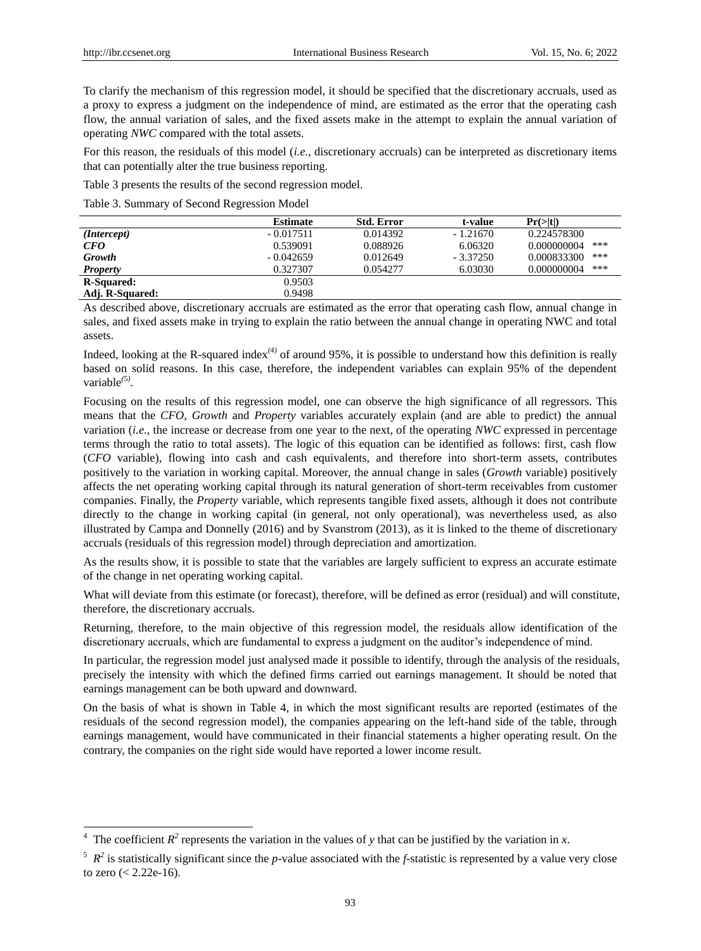-

To clarify the mechanism of this regression model, it should be specified that the discretionary accruals, used as a proxy to express a judgment on the independence of mind, are estimated as the error that the operating cash flow, the annual variation of sales, and the fixed assets make in the attempt to explain the annual variation of operating *NWC* compared with the total assets.

For this reason, the residuals of this model (*i.e.*, discretionary accruals) can be interpreted as discretionary items that can potentially alter the true business reporting.

Table 3 presents the results of the second regression model.

Table 3. Summary of Second Regression Model

|                      | <b>Estimate</b> | <b>Std. Error</b> | t-value    | $Pr(>\mid t )$     |
|----------------------|-----------------|-------------------|------------|--------------------|
| ( <i>Intercept</i> ) | $-0.017511$     | 0.014392          | $-1.21670$ | 0.224578300        |
| CFO                  | 0.539091        | 0.088926          | 6.06320    | ***<br>0.000000004 |
| <b>Growth</b>        | $-0.042659$     | 0.012649          | $-3.37250$ | ***<br>0.000833300 |
| <b>Property</b>      | 0.327307        | 0.054277          | 6.03030    | ***<br>0.000000004 |
| <b>R-Squared:</b>    | 0.9503          |                   |            |                    |
| Adj. R-Squared:      | 0.9498          |                   |            |                    |

As described above, discretionary accruals are estimated as the error that operating cash flow, annual change in sales, and fixed assets make in trying to explain the ratio between the annual change in operating NWC and total assets.

Indeed, looking at the R-squared index<sup>(4)</sup> of around 95%, it is possible to understand how this definition is really based on solid reasons. In this case, therefore, the independent variables can explain 95% of the dependent variable*(*5*)* .

Focusing on the results of this regression model, one can observe the high significance of all regressors. This means that the *CFO*, *Growth* and *Property* variables accurately explain (and are able to predict) the annual variation (*i.e.*, the increase or decrease from one year to the next, of the operating *NWC* expressed in percentage terms through the ratio to total assets). The logic of this equation can be identified as follows: first, cash flow (*CFO* variable), flowing into cash and cash equivalents, and therefore into short-term assets, contributes positively to the variation in working capital. Moreover, the annual change in sales (*Growth* variable) positively affects the net operating working capital through its natural generation of short-term receivables from customer companies. Finally, the *Property* variable, which represents tangible fixed assets, although it does not contribute directly to the change in working capital (in general, not only operational), was nevertheless used, as also illustrated by Campa and Donnelly (2016) and by Svanstrom (2013), as it is linked to the theme of discretionary accruals (residuals of this regression model) through depreciation and amortization.

As the results show, it is possible to state that the variables are largely sufficient to express an accurate estimate of the change in net operating working capital.

What will deviate from this estimate (or forecast), therefore, will be defined as error (residual) and will constitute, therefore, the discretionary accruals.

Returning, therefore, to the main objective of this regression model, the residuals allow identification of the discretionary accruals, which are fundamental to express a judgment on the auditor's independence of mind.

In particular, the regression model just analysed made it possible to identify, through the analysis of the residuals, precisely the intensity with which the defined firms carried out earnings management. It should be noted that earnings management can be both upward and downward.

On the basis of what is shown in Table 4, in which the most significant results are reported (estimates of the residuals of the second regression model), the companies appearing on the left-hand side of the table, through earnings management, would have communicated in their financial statements a higher operating result. On the contrary, the companies on the right side would have reported a lower income result.

<sup>&</sup>lt;sup>4</sup> The coefficient  $R^2$  represents the variation in the values of *y* that can be justified by the variation in *x*.

 $^5$   $R^2$  is statistically significant since the *p*-value associated with the *f*-statistic is represented by a value very close to zero (< 2.22e-16).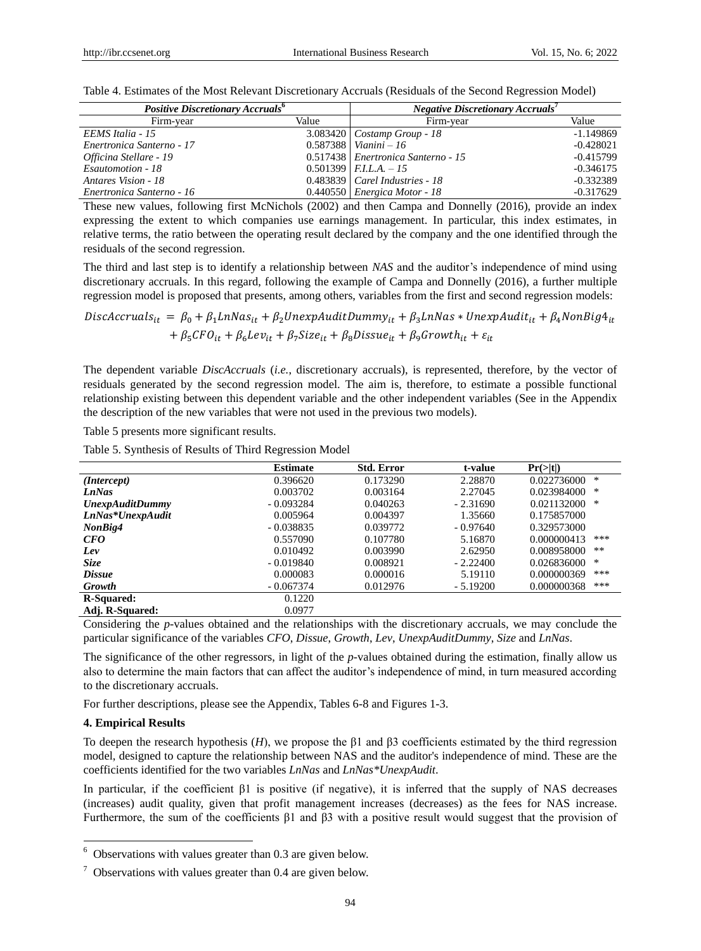| <b>Positive Discretionary Accruals<sup>6</sup></b> |       | Negative Discretionary Accruals'   |             |
|----------------------------------------------------|-------|------------------------------------|-------------|
| Firm-year                                          | Value | Firm-year                          | Value       |
| EEMS Italia - 15                                   |       | $3.083420$ Costamp Group - 18      | $-1.149869$ |
| Enertronica Santerno - 17                          |       | 0.587388   <i>Vianini</i> – 16     | $-0.428021$ |
| Officina Stellare - 19                             |       | 0.517438 Enertronica Santerno - 15 | $-0.415799$ |
| Esautomotion - 18                                  |       | $0.501399$   <i>F.I.L.A.</i> $-15$ | $-0.346175$ |
| Antares Vision - 18                                |       | $0.483839$ Carel Industries - 18   | $-0.332389$ |
| Enertronica Santerno - 16                          |       | $0.440550$ Energica Motor - 18     | $-0.317629$ |

Table 4. Estimates of the Most Relevant Discretionary Accruals (Residuals of the Second Regression Model)

These new values, following first McNichols (2002) and then Campa and Donnelly (2016), provide an index expressing the extent to which companies use earnings management. In particular, this index estimates, in relative terms, the ratio between the operating result declared by the company and the one identified through the residuals of the second regression.

The third and last step is to identify a relationship between *NAS* and the auditor's independence of mind using discretionary accruals. In this regard, following the example of Campa and Donnelly (2016), a further multiple regression model is proposed that presents, among others, variables from the first and second regression models:

 $DiscAccruals_{it} = \beta_0 + \beta_1 LnNas_{it} + \beta_2 UnexpAuditDummy_{it} + \beta_3 LnNas * UnexpAudit_{it} + \beta_4 NonBig4_{it}$ +  $\beta_5 CFO_{it} + \beta_6 Lev_{it} + \beta_7 Size_{it} + \beta_8 Dissue_{it} + \beta_9 Growth_{it} + \varepsilon_{it}$ 

The dependent variable *DiscAccruals* (*i.e.*, discretionary accruals), is represented, therefore, by the vector of residuals generated by the second regression model. The aim is, therefore, to estimate a possible functional relationship existing between this dependent variable and the other independent variables (See in the Appendix the description of the new variables that were not used in the previous two models).

Table 5 presents more significant results.

Table 5. Synthesis of Results of Third Regression Model

|                        | <b>Estimate</b> | <b>Std. Error</b> | t-value    | Pr(> t )             |
|------------------------|-----------------|-------------------|------------|----------------------|
| (Intercept)            | 0.396620        | 0.173290          | 2.28870    | *<br>0.022736000     |
| <b>LnNas</b>           | 0.003702        | 0.003164          | 2.27045    | *<br>0.023984000     |
| <b>UnexpAuditDummy</b> | $-0.093284$     | 0.040263          | $-2.31690$ | 0.021132000<br>*     |
| LnNas*UnexpAudit       | 0.005964        | 0.004397          | 1.35660    | 0.175857000          |
| NonBig4                | $-0.038835$     | 0.039772          | $-0.97640$ | 0.329573000          |
| CFO                    | 0.557090        | 0.107780          | 5.16870    | ***<br>0.000000413   |
| Lev                    | 0.010492        | 0.003990          | 2.62950    | $* *$<br>0.008958000 |
| Size                   | $-0.019840$     | 0.008921          | $-2.22400$ | 0.026836000<br>*     |
| <b>Dissue</b>          | 0.000083        | 0.000016          | 5.19110    | ***<br>0.000000369   |
| <b>Growth</b>          | $-0.067374$     | 0.012976          | $-5.19200$ | ***<br>0.000000368   |
| <b>R-Squared:</b>      | 0.1220          |                   |            |                      |
| Adj. R-Squared:        | 0.0977          |                   |            |                      |

Considering the *p-*values obtained and the relationships with the discretionary accruals, we may conclude the particular significance of the variables *CFO*, *Dissue*, *Growth*, *Lev*, *UnexpAuditDummy*, *Size* and *LnNas*.

The significance of the other regressors, in light of the *p-*values obtained during the estimation, finally allow us also to determine the main factors that can affect the auditor's independence of mind, in turn measured according to the discretionary accruals.

For further descriptions, please see the Appendix, Tables 6-8 and Figures 1-3.

#### **4. Empirical Results**

-

To deepen the research hypothesis (*H*), we propose the β1 and β3 coefficients estimated by the third regression model, designed to capture the relationship between NAS and the auditor's independence of mind. These are the coefficients identified for the two variables *LnNas* and *LnNas\*UnexpAudit*.

In particular, if the coefficient  $\beta$ 1 is positive (if negative), it is inferred that the supply of NAS decreases (increases) audit quality, given that profit management increases (decreases) as the fees for NAS increase. Furthermore, the sum of the coefficients β1 and β3 with a positive result would suggest that the provision of

 $6$  Observations with values greater than 0.3 are given below.

 $\frac{7}{7}$  Observations with values greater than 0.4 are given below.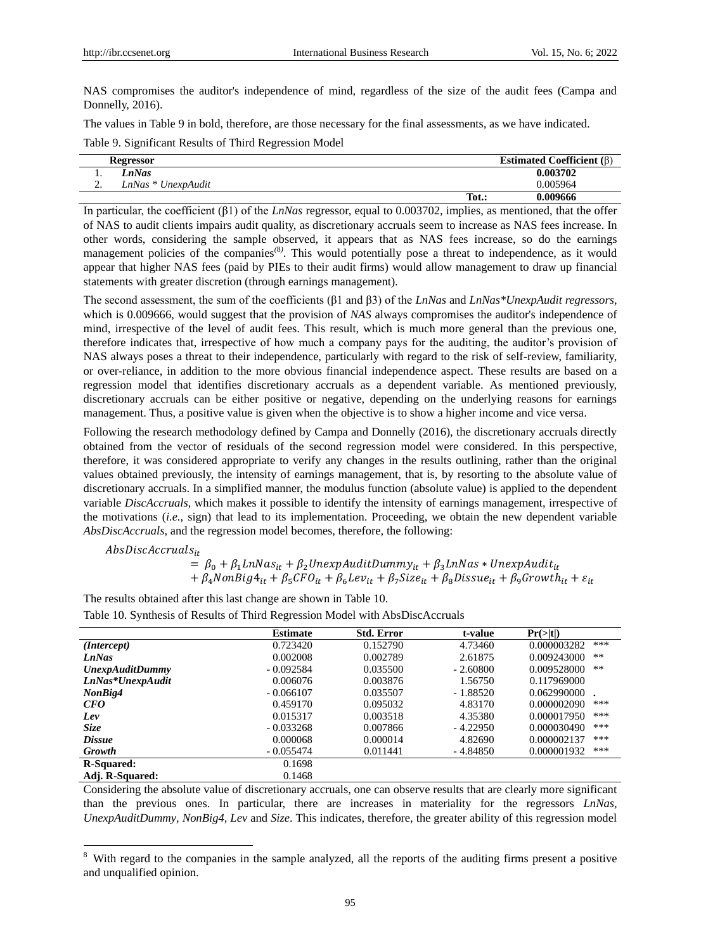NAS compromises the auditor's independence of mind, regardless of the size of the audit fees (Campa and Donnelly, 2016).

The values in Table 9 in bold, therefore, are those necessary for the final assessments, as we have indicated.

Table 9. Significant Results of Third Regression Model

|          | Regressor          |       | Estimated Coefficient $(\beta)$ |
|----------|--------------------|-------|---------------------------------|
| . .      | nNas               |       | 0.003702                        |
| <b>L</b> | LnNas * UnexpAudit |       | 0.005964                        |
|          |                    | Tot.: | 0.009666                        |

In particular, the coefficient (β1) of the *LnNas* regressor, equal to 0.003702, implies, as mentioned, that the offer of NAS to audit clients impairs audit quality, as discretionary accruals seem to increase as NAS fees increase. In other words, considering the sample observed, it appears that as NAS fees increase, so do the earnings management policies of the companies*(*8*)* . This would potentially pose a threat to independence, as it would appear that higher NAS fees (paid by PIEs to their audit firms) would allow management to draw up financial statements with greater discretion (through earnings management).

The second assessment, the sum of the coefficients (β1 and β3) of the *LnNas* and *LnNas\*UnexpAudit regressors*, which is 0.009666, would suggest that the provision of *NAS* always compromises the auditor's independence of mind, irrespective of the level of audit fees. This result, which is much more general than the previous one, therefore indicates that, irrespective of how much a company pays for the auditing, the auditor's provision of NAS always poses a threat to their independence, particularly with regard to the risk of self-review, familiarity, or over-reliance, in addition to the more obvious financial independence aspect. These results are based on a regression model that identifies discretionary accruals as a dependent variable. As mentioned previously, discretionary accruals can be either positive or negative, depending on the underlying reasons for earnings management. Thus, a positive value is given when the objective is to show a higher income and vice versa.

Following the research methodology defined by Campa and Donnelly (2016), the discretionary accruals directly obtained from the vector of residuals of the second regression model were considered. In this perspective, therefore, it was considered appropriate to verify any changes in the results outlining, rather than the original values obtained previously, the intensity of earnings management, that is, by resorting to the absolute value of discretionary accruals. In a simplified manner, the modulus function (absolute value) is applied to the dependent variable *DiscAccruals*, which makes it possible to identify the intensity of earnings management, irrespective of the motivations (*i.e.*, sign) that lead to its implementation. Proceeding, we obtain the new dependent variable *AbsDiscAccruals*, and the regression model becomes, therefore, the following:

 $AbsDiscAccruals_{it}$ 

-

 $= \beta_0 + \beta_1 L n N a s_{it} + \beta_2 U n e x p A u dit Dummy_{it} + \beta_3 L n N a s * Unexp A u dit_{it}$ +  $\beta_4$ NonBig $4_{it}$  +  $\beta_5$ CFO<sub>it</sub> +  $\beta_6$ Le $v_{it}$  +  $\beta_7$ Size<sub>it</sub> +  $\beta_8$ Dissue<sub>it</sub> +  $\beta_9$ Growth<sub>it</sub> +  $\varepsilon_{it}$ 

The results obtained after this last change are shown in Table 10. Table 10. Synthesis of Results of Third Regression Model with AbsDiscAccruals

|                        | <b>Estimate</b> | <b>Std. Error</b> | t-value    | Pr(> t )           |
|------------------------|-----------------|-------------------|------------|--------------------|
| (Intercept)            | 0.723420        | 0.152790          | 4.73460    | ***<br>0.000003282 |
| <b>LnNas</b>           | 0.002008        | 0.002789          | 2.61875    | **<br>0.009243000  |
| <b>UnexpAuditDummy</b> | $-0.092584$     | 0.035500          | $-2.60800$ | **<br>0.009528000  |
| LnNas*UnexpAudit       | 0.006076        | 0.003876          | 1.56750    | 0.117969000        |
| NonBig4                | $-0.066107$     | 0.035507          | $-1.88520$ | 0.062990000        |
| CFO                    | 0.459170        | 0.095032          | 4.83170    | ***<br>0.000002090 |
| Lev                    | 0.015317        | 0.003518          | 4.35380    | ***<br>0.000017950 |
| Size                   | $-0.033268$     | 0.007866          | $-4.22950$ | ***<br>0.000030490 |
| <b>Dissue</b>          | 0.000068        | 0.000014          | 4.82690    | ***<br>0.000002137 |
| <b>Growth</b>          | $-0.055474$     | 0.011441          | $-4.84850$ | ***<br>0.000001932 |
| <b>R-Squared:</b>      | 0.1698          |                   |            |                    |
| Adj. R-Squared:        | 0.1468          |                   |            |                    |

Considering the absolute value of discretionary accruals, one can observe results that are clearly more significant than the previous ones. In particular, there are increases in materiality for the regressors *LnNas*, *UnexpAuditDummy*, *NonBig4*, *Lev* and *Size*. This indicates, therefore, the greater ability of this regression model

<sup>&</sup>lt;sup>8</sup> With regard to the companies in the sample analyzed, all the reports of the auditing firms present a positive and unqualified opinion.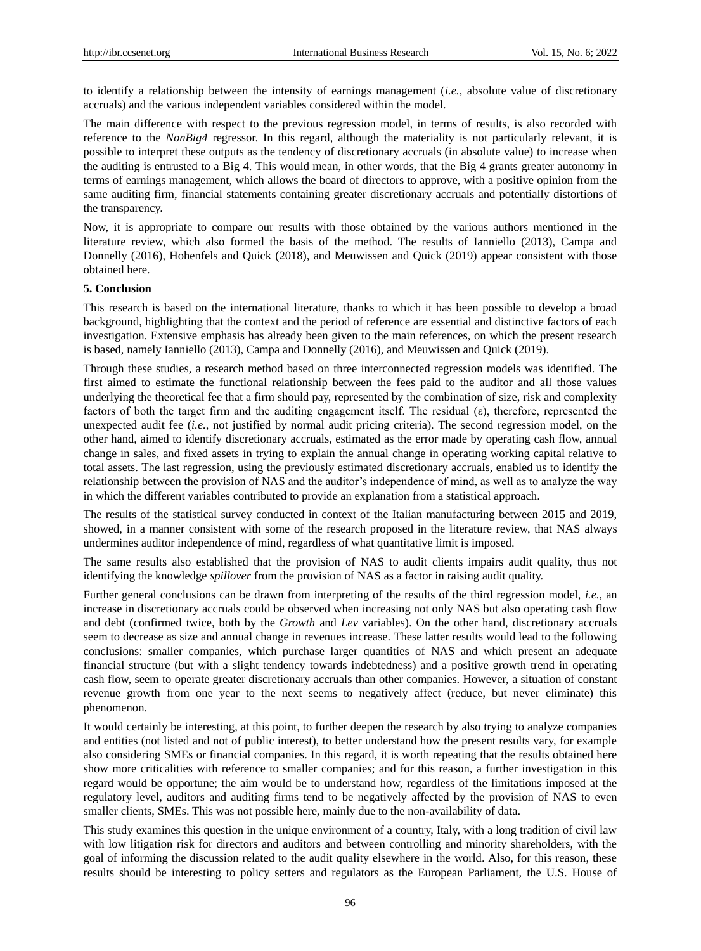to identify a relationship between the intensity of earnings management (*i.e.*, absolute value of discretionary accruals) and the various independent variables considered within the model.

The main difference with respect to the previous regression model, in terms of results, is also recorded with reference to the *NonBig4* regressor. In this regard, although the materiality is not particularly relevant, it is possible to interpret these outputs as the tendency of discretionary accruals (in absolute value) to increase when the auditing is entrusted to a Big 4. This would mean, in other words, that the Big 4 grants greater autonomy in terms of earnings management, which allows the board of directors to approve, with a positive opinion from the same auditing firm, financial statements containing greater discretionary accruals and potentially distortions of the transparency.

Now, it is appropriate to compare our results with those obtained by the various authors mentioned in the literature review, which also formed the basis of the method. The results of Ianniello (2013), Campa and Donnelly (2016), Hohenfels and Quick (2018), and Meuwissen and Quick (2019) appear consistent with those obtained here.

### **5. Conclusion**

This research is based on the international literature, thanks to which it has been possible to develop a broad background, highlighting that the context and the period of reference are essential and distinctive factors of each investigation. Extensive emphasis has already been given to the main references, on which the present research is based, namely Ianniello (2013), Campa and Donnelly (2016), and Meuwissen and Quick (2019).

Through these studies, a research method based on three interconnected regression models was identified. The first aimed to estimate the functional relationship between the fees paid to the auditor and all those values underlying the theoretical fee that a firm should pay, represented by the combination of size, risk and complexity factors of both the target firm and the auditing engagement itself. The residual  $(\epsilon)$ , therefore, represented the unexpected audit fee (*i.e.*, not justified by normal audit pricing criteria). The second regression model, on the other hand, aimed to identify discretionary accruals, estimated as the error made by operating cash flow, annual change in sales, and fixed assets in trying to explain the annual change in operating working capital relative to total assets. The last regression, using the previously estimated discretionary accruals, enabled us to identify the relationship between the provision of NAS and the auditor's independence of mind, as well as to analyze the way in which the different variables contributed to provide an explanation from a statistical approach.

The results of the statistical survey conducted in context of the Italian manufacturing between 2015 and 2019, showed, in a manner consistent with some of the research proposed in the literature review, that NAS always undermines auditor independence of mind, regardless of what quantitative limit is imposed.

The same results also established that the provision of NAS to audit clients impairs audit quality, thus not identifying the knowledge *spillover* from the provision of NAS as a factor in raising audit quality.

Further general conclusions can be drawn from interpreting of the results of the third regression model, *i.e.*, an increase in discretionary accruals could be observed when increasing not only NAS but also operating cash flow and debt (confirmed twice, both by the *Growth* and *Lev* variables). On the other hand, discretionary accruals seem to decrease as size and annual change in revenues increase. These latter results would lead to the following conclusions: smaller companies, which purchase larger quantities of NAS and which present an adequate financial structure (but with a slight tendency towards indebtedness) and a positive growth trend in operating cash flow, seem to operate greater discretionary accruals than other companies. However, a situation of constant revenue growth from one year to the next seems to negatively affect (reduce, but never eliminate) this phenomenon.

It would certainly be interesting, at this point, to further deepen the research by also trying to analyze companies and entities (not listed and not of public interest), to better understand how the present results vary, for example also considering SMEs or financial companies. In this regard, it is worth repeating that the results obtained here show more criticalities with reference to smaller companies; and for this reason, a further investigation in this regard would be opportune; the aim would be to understand how, regardless of the limitations imposed at the regulatory level, auditors and auditing firms tend to be negatively affected by the provision of NAS to even smaller clients, SMEs. This was not possible here, mainly due to the non-availability of data.

This study examines this question in the unique environment of a country, Italy, with a long tradition of civil law with low litigation risk for directors and auditors and between controlling and minority shareholders, with the goal of informing the discussion related to the audit quality elsewhere in the world. Also, for this reason, these results should be interesting to policy setters and regulators as the European Parliament, the U.S. House of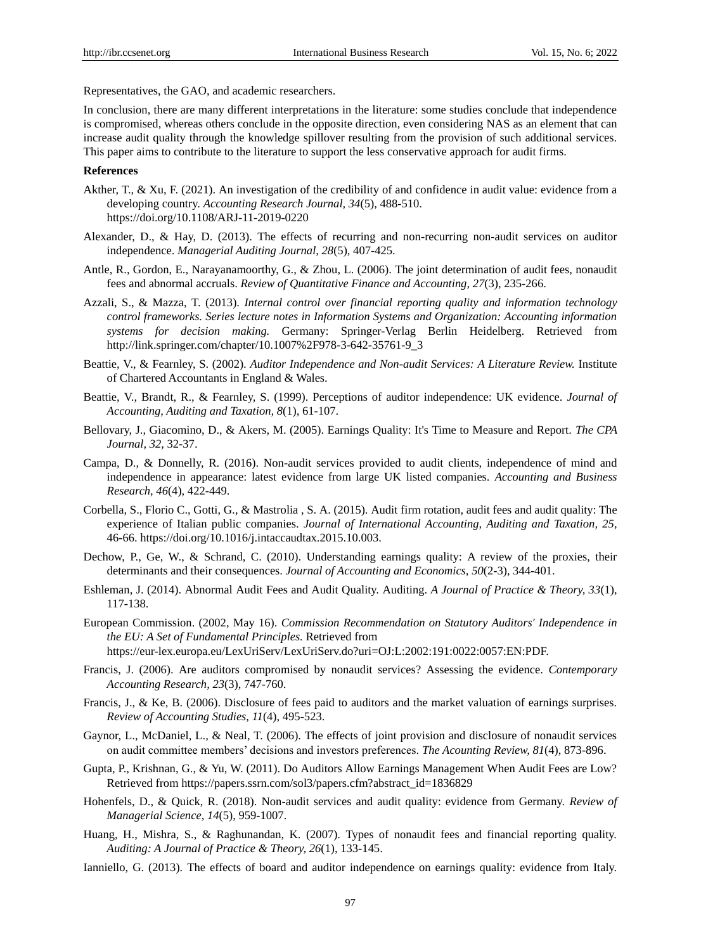Representatives, the GAO, and academic researchers.

In conclusion, there are many different interpretations in the literature: some studies conclude that independence is compromised, whereas others conclude in the opposite direction, even considering NAS as an element that can increase audit quality through the knowledge spillover resulting from the provision of such additional services. This paper aims to contribute to the literature to support the less conservative approach for audit firms.

#### **References**

- Akther, T., & Xu, F. (2021). An investigation of the credibility of and confidence in audit value: evidence from a developing country. *Accounting Research Journal, 34*(5), 488-510. <https://doi.org/10.1108/ARJ-11-2019-0220>
- Alexander, D., & Hay, D. (2013). The effects of recurring and non-recurring non-audit services on auditor independence. *Managerial Auditing Journal, 28*(5), 407-425.
- Antle, R., Gordon, E., Narayanamoorthy, G., & Zhou, L. (2006). The joint determination of audit fees, nonaudit fees and abnormal accruals. *Review of Quantitative Finance and Accounting, 27*(3), 235-266.
- Azzali, S., & Mazza, T. (2013). *Internal control over financial reporting quality and information technology control frameworks. Series lecture notes in Information Systems and Organization: Accounting information systems for decision making.* Germany: Springer-Verlag Berlin Heidelberg. Retrieved from http://link.springer.com/chapter/10.1007%2F978-3-642-35761-9\_3
- Beattie, V., & Fearnley, S. (2002). *Auditor Independence and Non-audit Services: A Literature Review.* Institute of Chartered Accountants in England & Wales.
- Beattie, V., Brandt, R., & Fearnley, S. (1999). Perceptions of auditor independence: UK evidence. *Journal of Accounting, Auditing and Taxation, 8*(1), 61-107.
- Bellovary, J., Giacomino, D., & Akers, M. (2005). Earnings Quality: It's Time to Measure and Report. *The CPA Journal, 32,* 32-37.
- Campa, D., & Donnelly, R. (2016). Non-audit services provided to audit clients, independence of mind and independence in appearance: latest evidence from large UK listed companies. *Accounting and Business Research, 46*(4), 422-449.
- Corbella, S., Florio C., Gotti, G., & Mastrolia , S. A. (2015). Audit firm rotation, audit fees and audit quality: The experience of Italian public companies. *[Journal of International Accounting, Auditing and Taxation,](https://www.sciencedirect.com/journal/journal-of-international-accounting-auditing-and-taxation) 25,*  46-66. https://doi.org/10.1016/j.intaccaudtax.2015.10.003.
- Dechow, P., Ge, W., & Schrand, C. (2010). Understanding earnings quality: A review of the proxies, their determinants and their consequences. *Journal of Accounting and Economics, 50*(2-3), 344-401.
- Eshleman, J. (2014). Abnormal Audit Fees and Audit Quality. Auditing. *A Journal of Practice & Theory, 33*(1), 117-138.
- European Commission. (2002, May 16). *Commission Recommendation on Statutory Auditors' Independence in the EU: A Set of Fundamental Principles.* Retrieved from https://eur-lex.europa.eu/LexUriServ/LexUriServ.do?uri=OJ:L:2002:191:0022:0057:EN:PDF.
- Francis, J. (2006). Are auditors compromised by nonaudit services? Assessing the evidence. *Contemporary Accounting Research, 23*(3), 747-760.
- Francis, J., & Ke, B. (2006). Disclosure of fees paid to auditors and the market valuation of earnings surprises. *Review of Accounting Studies, 11*(4), 495-523.
- Gaynor, L., McDaniel, L., & Neal, T. (2006). The effects of joint provision and disclosure of nonaudit services on audit committee members' decisions and investors preferences. *The Acounting Review, 81*(4), 873-896.
- Gupta, P., Krishnan, G., & Yu, W. (2011). Do Auditors Allow Earnings Management When Audit Fees are Low? Retrieved from https://papers.ssrn.com/sol3/papers.cfm?abstract\_id=1836829
- Hohenfels, D., & Quick, R. (2018). Non-audit services and audit quality: evidence from Germany. *Review of Managerial Science, 14*(5), 959-1007.
- Huang, H., Mishra, S., & Raghunandan, K. (2007). Types of nonaudit fees and financial reporting quality. *Auditing: A Journal of Practice & Theory, 26*(1), 133-145.
- Ianniello, G. (2013). The effects of board and auditor independence on earnings quality: evidence from Italy.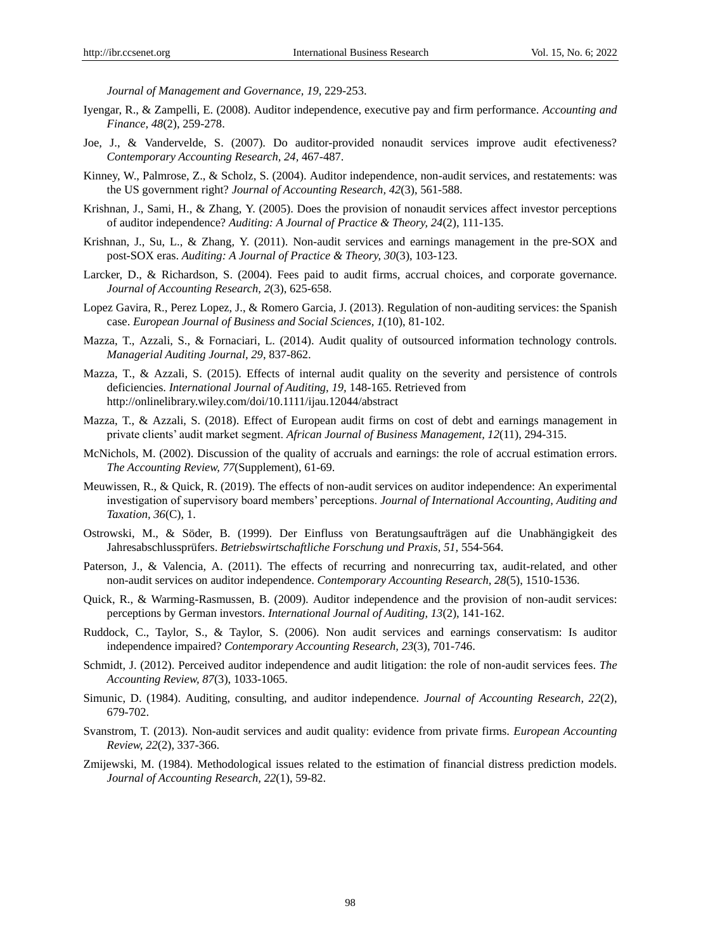*Journal of Management and Governance, 19,* 229-253.

- Iyengar, R., & Zampelli, E. (2008). Auditor independence, executive pay and firm performance. *Accounting and Finance, 48*(2), 259-278.
- Joe, J., & Vandervelde, S. (2007). Do auditor-provided nonaudit services improve audit efectiveness? *Contemporary Accounting Research, 24,* 467-487.
- Kinney, W., Palmrose, Z., & Scholz, S. (2004). Auditor independence, non-audit services, and restatements: was the US government right? *Journal of Accounting Research, 42*(3), 561-588.
- Krishnan, J., Sami, H., & Zhang, Y. (2005). Does the provision of nonaudit services affect investor perceptions of auditor independence? *Auditing: A Journal of Practice & Theory, 24*(2), 111-135.
- Krishnan, J., Su, L., & Zhang, Y. (2011). Non-audit services and earnings management in the pre-SOX and post-SOX eras. *Auditing: A Journal of Practice & Theory, 30*(3), 103-123.
- Larcker, D., & Richardson, S. (2004). Fees paid to audit firms, accrual choices, and corporate governance. *Journal of Accounting Research, 2*(3), 625-658.
- Lopez Gavira, R., Perez Lopez, J., & Romero Garcia, J. (2013). Regulation of non-auditing services: the Spanish case. *European Journal of Business and Social Sciences, 1*(10), 81-102.
- Mazza, T., Azzali, S., & Fornaciari, L. (2014). Audit quality of outsourced information technology controls. *Managerial Auditing Journal, 29*, 837-862.
- Mazza, T., & Azzali, S. (2015). Effects of internal audit quality on the severity and persistence of controls deficiencies. *International Journal of Auditing, 19,* 148-165. Retrieved from http://onlinelibrary.wiley.com/doi/10.1111/ijau.12044/abstract
- Mazza, T., & Azzali, S. (2018). Effect of European audit firms on cost of debt and earnings management in private clients' audit market segment. *African Journal of Business Management, 12*(11), 294-315.
- McNichols, M. (2002). Discussion of the quality of accruals and earnings: the role of accrual estimation errors. *The Accounting Review, 77*(Supplement), 61-69.
- Meuwissen, R., & Quick, R. (2019). The effects of non-audit services on auditor independence: An experimental investigation of supervisory board members' perceptions. *Journal of International Accounting, Auditing and Taxation, 36*(C), 1.
- Ostrowski, M., & Söder, B. (1999). Der Einfluss von Beratungsaufträgen auf die Unabhängigkeit des Jahresabschlussprüfers. *Betriebswirtschaftliche Forschung und Praxis, 51,* 554-564.
- Paterson, J., & Valencia, A. (2011). The effects of recurring and nonrecurring tax, audit-related, and other non-audit services on auditor independence. *Contemporary Accounting Research, 28*(5), 1510-1536.
- Quick, R., & Warming-Rasmussen, B. (2009). Auditor independence and the provision of non-audit services: perceptions by German investors. *International Journal of Auditing, 13*(2), 141-162.
- Ruddock, C., Taylor, S., & Taylor, S. (2006). Non audit services and earnings conservatism: Is auditor independence impaired? *Contemporary Accounting Research, 23*(3), 701-746.
- Schmidt, J. (2012). Perceived auditor independence and audit litigation: the role of non-audit services fees. *The Accounting Review, 87*(3), 1033-1065.
- Simunic, D. (1984). Auditing, consulting, and auditor independence. *Journal of Accounting Research, 22*(2), 679-702.
- Svanstrom, T. (2013). Non-audit services and audit quality: evidence from private firms. *European Accounting Review, 22*(2), 337-366.
- Zmijewski, M. (1984). Methodological issues related to the estimation of financial distress prediction models. *Journal of Accounting Research, 22*(1), 59-82.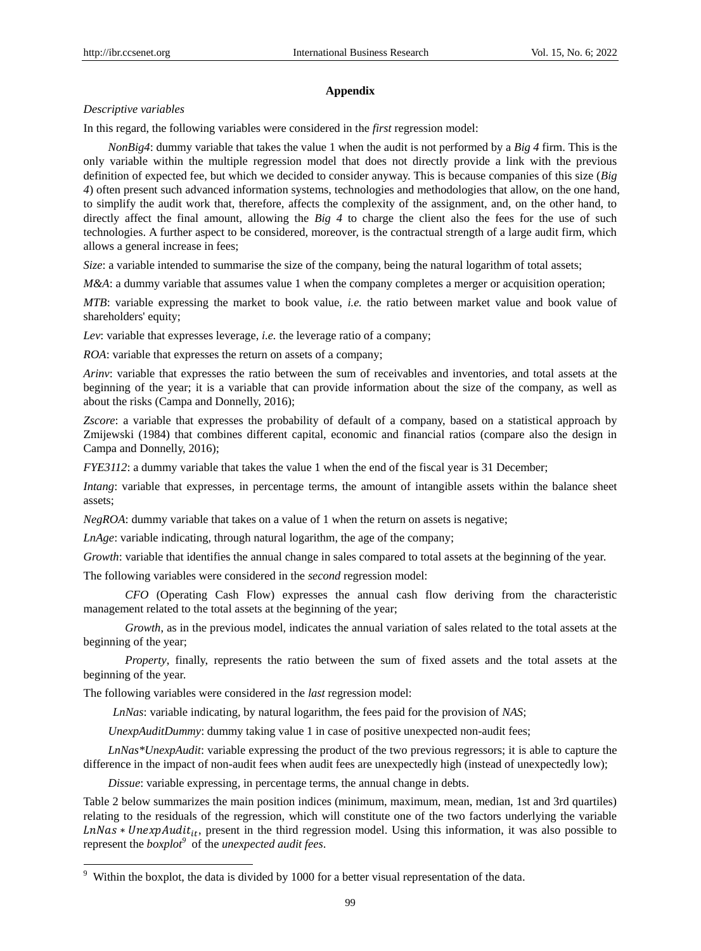#### **Appendix**

#### *Descriptive variables*

In this regard, the following variables were considered in the *first* regression model:

*NonBig4*: dummy variable that takes the value 1 when the audit is not performed by a *Big 4* firm. This is the only variable within the multiple regression model that does not directly provide a link with the previous definition of expected fee, but which we decided to consider anyway. This is because companies of this size (*Big 4*) often present such advanced information systems, technologies and methodologies that allow, on the one hand, to simplify the audit work that, therefore, affects the complexity of the assignment, and, on the other hand, to directly affect the final amount, allowing the *Big 4* to charge the client also the fees for the use of such technologies. A further aspect to be considered, moreover, is the contractual strength of a large audit firm, which allows a general increase in fees;

*Size*: a variable intended to summarise the size of the company, being the natural logarithm of total assets;

*M&A*: a dummy variable that assumes value 1 when the company completes a merger or acquisition operation;

*MTB*: variable expressing the market to book value, *i.e.* the ratio between market value and book value of shareholders' equity;

*Lev*: variable that expresses leverage, *i.e.* the leverage ratio of a company;

*ROA*: variable that expresses the return on assets of a company;

*Arinv*: variable that expresses the ratio between the sum of receivables and inventories, and total assets at the beginning of the year; it is a variable that can provide information about the size of the company, as well as about the risks (Campa and Donnelly, 2016);

*Zscore*: a variable that expresses the probability of default of a company, based on a statistical approach by Zmijewski (1984) that combines different capital, economic and financial ratios (compare also the design in Campa and Donnelly, 2016);

*FYE3112*: a dummy variable that takes the value 1 when the end of the fiscal year is 31 December;

*Intang*: variable that expresses, in percentage terms, the amount of intangible assets within the balance sheet assets;

*NegROA*: dummy variable that takes on a value of 1 when the return on assets is negative;

*LnAge*: variable indicating, through natural logarithm, the age of the company;

*Growth*: variable that identifies the annual change in sales compared to total assets at the beginning of the year.

The following variables were considered in the *second* regression model:

*CFO* (Operating Cash Flow) expresses the annual cash flow deriving from the characteristic management related to the total assets at the beginning of the year;

*Growth*, as in the previous model, indicates the annual variation of sales related to the total assets at the beginning of the year;

*Property*, finally, represents the ratio between the sum of fixed assets and the total assets at the beginning of the year.

The following variables were considered in the *last* regression model:

-

*LnNas*: variable indicating, by natural logarithm, the fees paid for the provision of *NAS*;

*UnexpAuditDummy*: dummy taking value 1 in case of positive unexpected non-audit fees;

*LnNas\*UnexpAudit*: variable expressing the product of the two previous regressors; it is able to capture the difference in the impact of non-audit fees when audit fees are unexpectedly high (instead of unexpectedly low);

*Dissue*: variable expressing, in percentage terms, the annual change in debts.

Table 2 below summarizes the main position indices (minimum, maximum, mean, median, 1st and 3rd quartiles) relating to the residuals of the regression, which will constitute one of the two factors underlying the variable  $LnNas * UnexpAudit_{it}$ , present in the third regression model. Using this information, it was also possible to represent the *boxplot<sup>9</sup>* of the *unexpected audit fees*.

<sup>&</sup>lt;sup>9</sup> Within the boxplot, the data is divided by 1000 for a better visual representation of the data.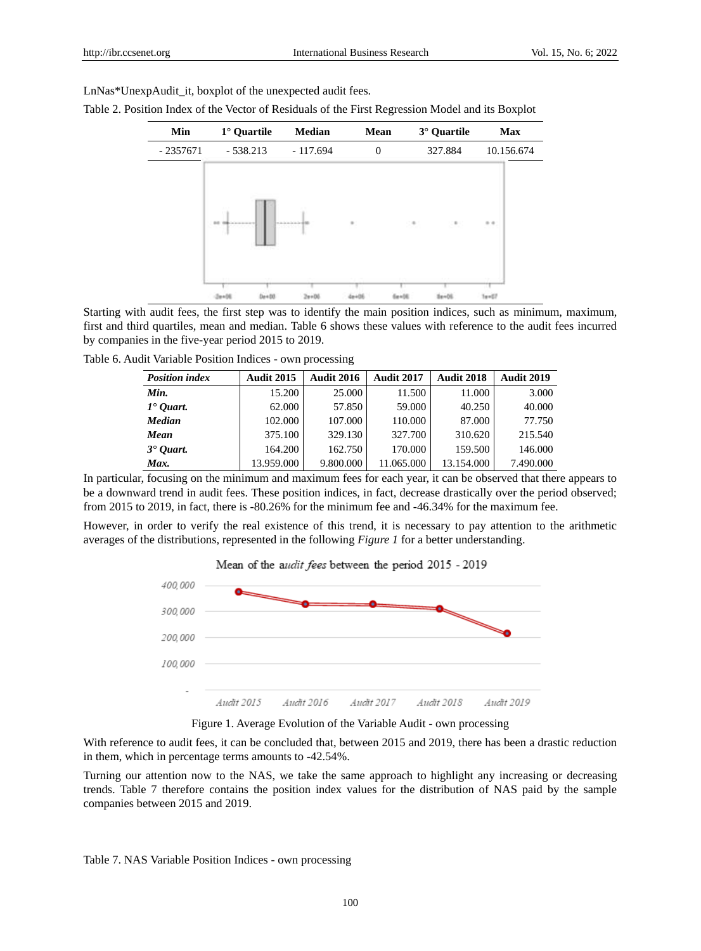LnNas\*UnexpAudit it, boxplot of the unexpected audit fees.

Table 2. Position Index of the Vector of Residuals of the First Regression Model and its Boxplot

| Min        | 1 <sup>°</sup> Quartile | <b>Median</b>  | Mean           | 3 <sup>°</sup> Quartile | <b>Max</b> |
|------------|-------------------------|----------------|----------------|-------------------------|------------|
| $-2357671$ | $-538.213$              | $-117.694$     | $\overline{0}$ | 327.884                 | 10.156.674 |
|            | 49-14039-1-120-2        | <b>TAAAAAA</b> | $\alpha$ .     |                         | $\sim$     |

Starting with audit fees, the first step was to identify the main position indices, such as minimum, maximum, first and third quartiles, mean and median. Table 6 shows these values with reference to the audit fees incurred by companies in the five-year period 2015 to 2019.

Table 6. Audit Variable Position Indices - own processing

| <b>Position index</b> | <b>Audit 2015</b> | <b>Audit 2016</b> | <b>Audit 2017</b> | <b>Audit 2018</b> | <b>Audit 2019</b> |
|-----------------------|-------------------|-------------------|-------------------|-------------------|-------------------|
| Min.                  | 15.200            | 25.000            | 11.500            | 11.000            | 3.000             |
| $1°$ Quart.           | 62.000            | 57.850            | 59.000            | 40.250            | 40.000            |
| <b>Median</b>         | 102.000           | 107.000           | 110.000           | 87.000            | 77.750            |
| Mean                  | 375.100           | 329.130           | 327.700           | 310.620           | 215.540           |
| $3$ $0$ <i>uart.</i>  | 164.200           | 162.750           | 170.000           | 159.500           | 146.000           |
| Max.                  | 13.959.000        | 9.800.000         | 11.065.000        | 13.154.000        | 7.490.000         |

In particular, focusing on the minimum and maximum fees for each year, it can be observed that there appears to be a downward trend in audit fees. These position indices, in fact, decrease drastically over the period observed; from 2015 to 2019, in fact, there is -80.26% for the minimum fee and -46.34% for the maximum fee.

However, in order to verify the real existence of this trend, it is necessary to pay attention to the arithmetic averages of the distributions, represented in the following *Figure 1* for a better understanding.



Figure 1. Average Evolution of the Variable Audit - own processing

With reference to audit fees, it can be concluded that, between 2015 and 2019, there has been a drastic reduction in them, which in percentage terms amounts to -42.54%.

Turning our attention now to the NAS, we take the same approach to highlight any increasing or decreasing trends. Table 7 therefore contains the position index values for the distribution of NAS paid by the sample companies between 2015 and 2019.

Table 7. NAS Variable Position Indices - own processing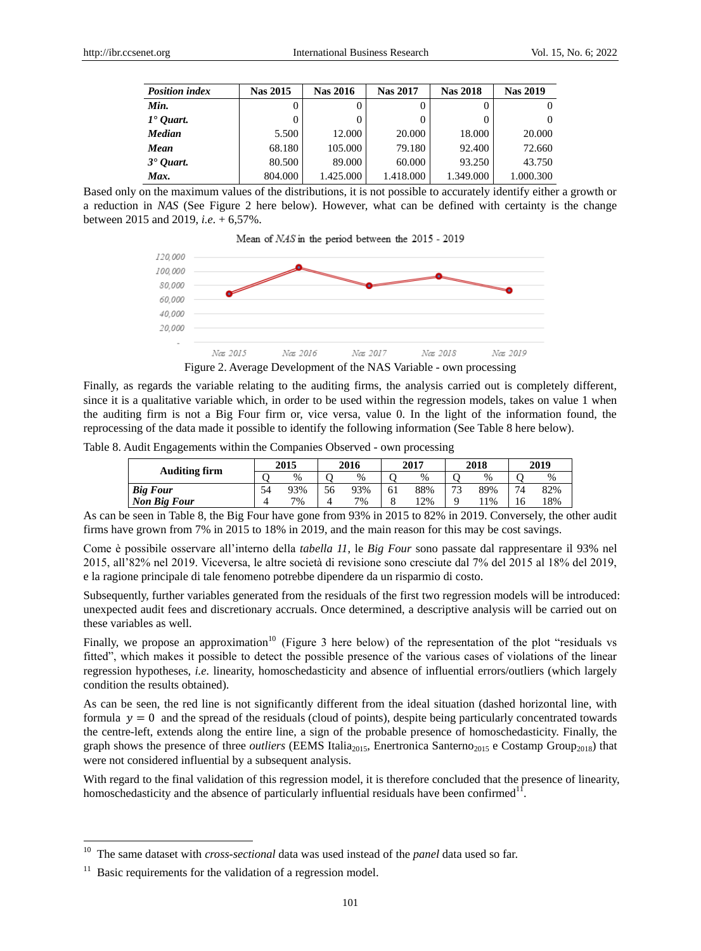| <b>Position index</b> | <b>Nas 2015</b> | <b>Nas 2016</b> | <b>Nas 2017</b> | <b>Nas 2018</b> | <b>Nas 2019</b> |
|-----------------------|-----------------|-----------------|-----------------|-----------------|-----------------|
| Min.                  |                 |                 | 0               |                 |                 |
| $1°$ Ouart.           |                 |                 | 0               |                 |                 |
| <b>Median</b>         | 5.500           | 12.000          | 20.000          | 18.000          | 20,000          |
| Mean                  | 68.180          | 105.000         | 79.180          | 92.400          | 72.660          |
| $3$ $•$ Ouart.        | 80.500          | 89.000          | 60.000          | 93.250          | 43.750          |
| Max.                  | 804.000         | 1.425.000       | 1.418.000       | 1.349.000       | 1.000.300       |

Based only on the maximum values of the distributions, it is not possible to accurately identify either a growth or a reduction in *NAS* (See Figure 2 here below). However, what can be defined with certainty is the change between 2015 and 2019, *i.e.* + 6,57%.



Figure 2. Average Development of the NAS Variable - own processing

Finally, as regards the variable relating to the auditing firms, the analysis carried out is completely different, since it is a qualitative variable which, in order to be used within the regression models, takes on value 1 when the auditing firm is not a Big Four firm or, vice versa, value 0. In the light of the information found, the reprocessing of the data made it possible to identify the following information (See Table 8 here below).

Table 8. Audit Engagements within the Companies Observed - own processing

| <b>Auditing firm</b> | 2015 |      | 2016 |      | 2017 |     | 2018           |       | 2019 |     |
|----------------------|------|------|------|------|------|-----|----------------|-------|------|-----|
|                      |      | $\%$ |      | $\%$ |      | %   |                | %     |      | %   |
| <b>Big Four</b>      | 54   | 93%  | 56   | 93%  | 61   | 88% | $\overline{ }$ | 89%   | 74   | 82% |
| <b>Non Big Four</b>  |      | 7%   |      | 7%   |      | '2% |                | $1\%$ | 16   | 18% |

As can be seen in Table 8, the Big Four have gone from 93% in 2015 to 82% in 2019. Conversely, the other audit firms have grown from 7% in 2015 to 18% in 2019, and the main reason for this may be cost savings.

Come è possibile osservare all'interno della *tabella 11*, le *Big Four* sono passate dal rappresentare il 93% nel 2015, all'82% nel 2019. Viceversa, le altre società di revisione sono cresciute dal 7% del 2015 al 18% del 2019, e la ragione principale di tale fenomeno potrebbe dipendere da un risparmio di costo.

Subsequently, further variables generated from the residuals of the first two regression models will be introduced: unexpected audit fees and discretionary accruals. Once determined, a descriptive analysis will be carried out on these variables as well.

Finally, we propose an approximation<sup>10</sup> (Figure 3 here below) of the representation of the plot "residuals vs fitted", which makes it possible to detect the possible presence of the various cases of violations of the linear regression hypotheses, *i.e.* linearity, homoschedasticity and absence of influential errors/outliers (which largely condition the results obtained).

As can be seen, the red line is not significantly different from the ideal situation (dashed horizontal line, with formula  $y = 0$  and the spread of the residuals (cloud of points), despite being particularly concentrated towards the centre-left, extends along the entire line, a sign of the probable presence of homoschedasticity. Finally, the graph shows the presence of three *outliers* (EEMS Italia<sub>2015</sub>, Enertronica Santerno<sub>2015</sub> e Costamp Group<sub>2018</sub>) that were not considered influential by a subsequent analysis.

With regard to the final validation of this regression model, it is therefore concluded that the presence of linearity, homoschedasticity and the absence of particularly influential residuals have been confirmed $^{11}$ .

-

<sup>10</sup> The same dataset with *cross-sectional* data was used instead of the *panel* data used so far.

 $11$  Basic requirements for the validation of a regression model.